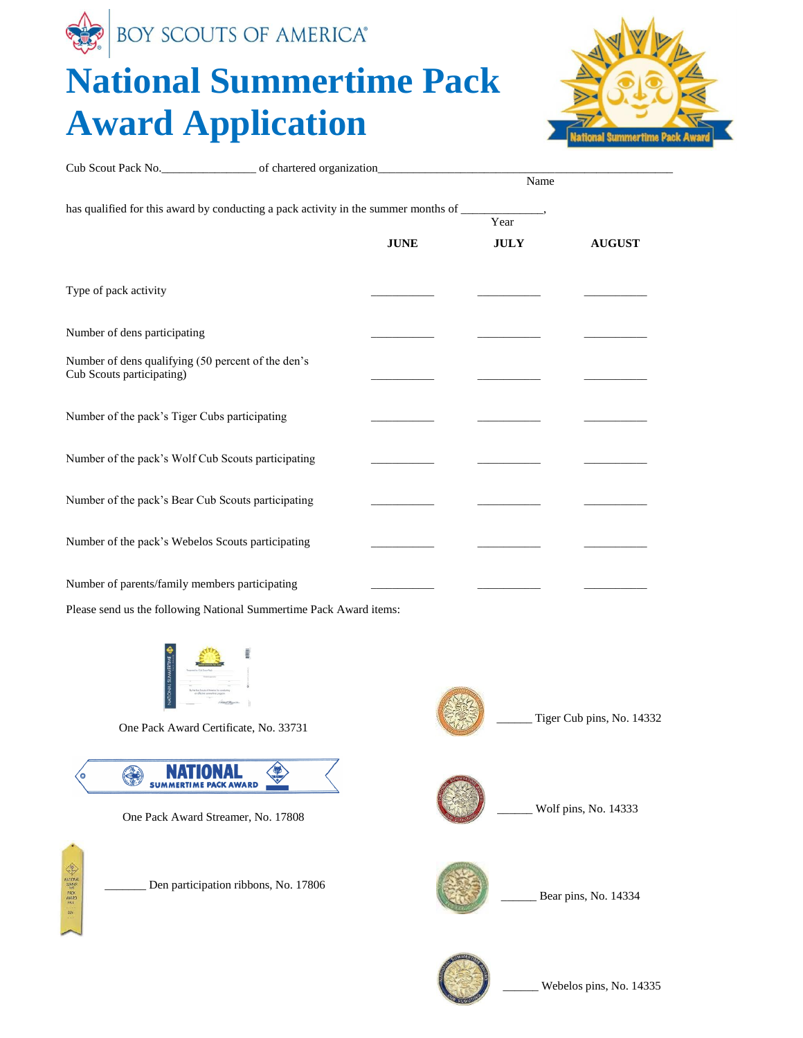

## **National Summertime Pack Award Application**



| Cub Scout Pack No. _________________________ of chartered organization______________________________ |                                      |             | Name                |                           |
|------------------------------------------------------------------------------------------------------|--------------------------------------|-------------|---------------------|---------------------------|
| has qualified for this award by conducting a pack activity in the summer months of ______________,   |                                      |             |                     |                           |
|                                                                                                      |                                      | <b>JUNE</b> | Year<br><b>JULY</b> | <b>AUGUST</b>             |
| Type of pack activity                                                                                |                                      |             |                     |                           |
| Number of dens participating                                                                         |                                      |             |                     |                           |
| Number of dens qualifying (50 percent of the den's<br>Cub Scouts participating)                      |                                      |             |                     |                           |
| Number of the pack's Tiger Cubs participating                                                        |                                      |             |                     |                           |
| Number of the pack's Wolf Cub Scouts participating                                                   |                                      |             |                     |                           |
| Number of the pack's Bear Cub Scouts participating                                                   |                                      |             |                     |                           |
| Number of the pack's Webelos Scouts participating                                                    |                                      |             |                     |                           |
| Number of parents/family members participating                                                       |                                      |             |                     |                           |
| Please send us the following National Summertime Pack Award items:                                   |                                      |             |                     |                           |
| <b>JAL SUMMERTIM</b><br>One Pack Award Certificate, No. 33731                                        |                                      |             |                     | Tiger Cub pins, No. 14332 |
| One Pack Award Streamer, No. 17808                                                                   |                                      |             |                     | Wolf pins, No. 14333      |
| <b>ANTONIA</b><br>ANTONIA<br>CONVENIE<br>PACK ANTARIA                                                | Den participation ribbons, No. 17806 |             |                     | Bear pins, No. 14334      |
|                                                                                                      |                                      |             |                     |                           |